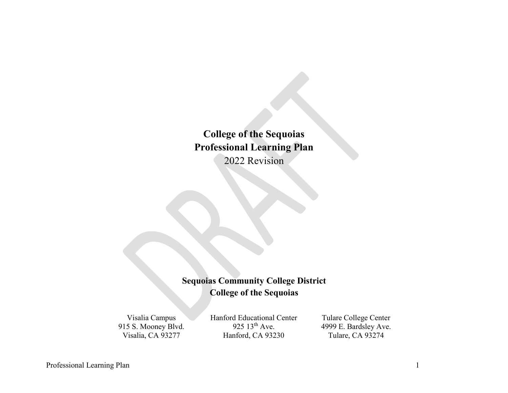**College of the Sequoias Professional Learning Plan** 2022 Revision

# **Sequoias Community College District College of the Sequoias**

Visalia Campus 915 S. Mooney Blvd. Visalia, CA 93277

Hanford Educational Center 925  $13^{th}$  Ave. Hanford, CA 93230

Tulare College Center 4999 E. Bardsley Ave. Tulare, CA 93274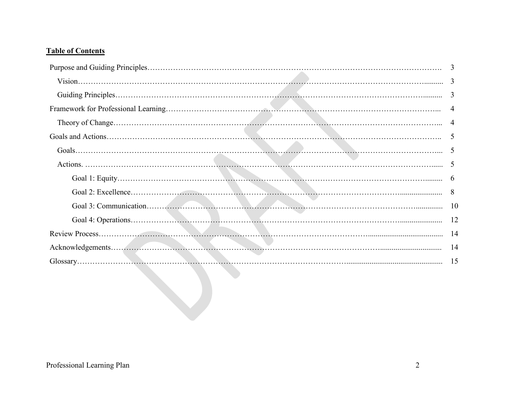# **Table of Contents**

| 3              |
|----------------|
|                |
| 3              |
| 4              |
| $\overline{4}$ |
| 5              |
|                |
|                |
| - 6            |
|                |
|                |
|                |
|                |
| -14            |
|                |
|                |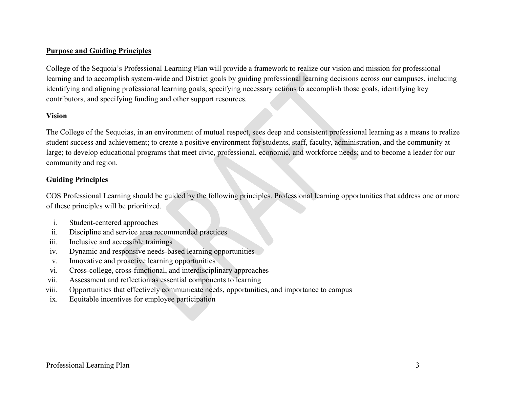### **Purpose and Guiding Principles**

College of the Sequoia's Professional Learning Plan will provide a framework to realize our vision and mission for professional learning and to accomplish system-wide and District goals by guiding professional learning decisions across our campuses, including identifying and aligning professional learning goals, specifying necessary actions to accomplish those goals, identifying key contributors, and specifying funding and other support resources.

#### **Vision**

The College of the Sequoias, in an environment of mutual respect, sees deep and consistent professional learning as a means to realize student success and achievement; to create a positive environment for students, staff, faculty, administration, and the community at large; to develop educational programs that meet civic, professional, economic, and workforce needs; and to become a leader for our community and region.

### **Guiding Principles**

COS Professional Learning should be guided by the following principles. Professional learning opportunities that address one or more of these principles will be prioritized.

- i. Student-centered approaches
- ii. Discipline and service area recommended practices
- iii. Inclusive and accessible trainings
- iv. Dynamic and responsive needs-based learning opportunities
- v. Innovative and proactive learning opportunities
- vi. Cross-college, cross-functional, and interdisciplinary approaches
- vii. Assessment and reflection as essential components to learning
- viii. Opportunities that effectively communicate needs, opportunities, and importance to campus
- ix. Equitable incentives for employee participation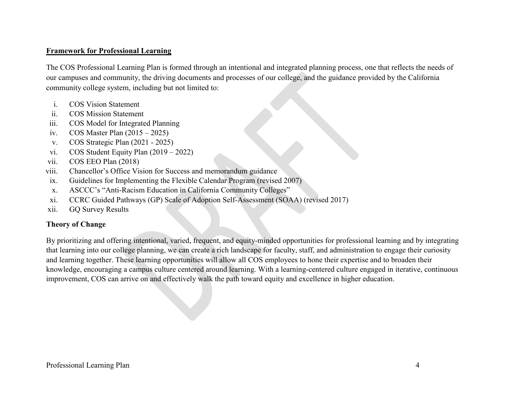### **Framework for Professional Learning**

The COS Professional Learning Plan is formed through an intentional and integrated planning process, one that reflects the needs of our campuses and community, the driving documents and processes of our college, and the guidance provided by the California community college system, including but not limited to:

- i. COS Vision Statement
- ii. COS Mission Statement
- iii. COS Model for Integrated Planning
- iv. COS Master Plan (2015 2025)
- v. COS Strategic Plan (2021 2025)
- vi. COS Student Equity Plan (2019 2022)
- vii. COS EEO Plan (2018)
- viii. Chancellor's Office Vision for Success and memorandum guidance
- ix. Guidelines for Implementing the Flexible Calendar Program (revised 2007)
- x. ASCCC's "Anti-Racism Education in California Community Colleges"
- xi. CCRC Guided Pathways (GP) Scale of Adoption Self-Assessment (SOAA) (revised 2017)
- xii. GQ Survey Results

#### **Theory of Change**

By prioritizing and offering intentional, varied, frequent, and equity-minded opportunities for professional learning and by integrating that learning into our college planning, we can create a rich landscape for faculty, staff, and administration to engage their curiosity and learning together. These learning opportunities will allow all COS employees to hone their expertise and to broaden their knowledge, encouraging a campus culture centered around learning. With a learning-centered culture engaged in iterative, continuous improvement, COS can arrive on and effectively walk the path toward equity and excellence in higher education.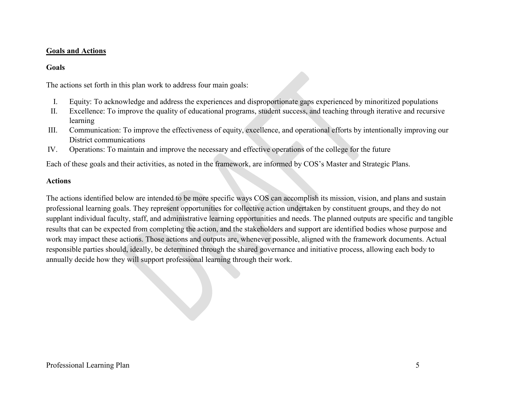### **Goals and Actions**

### **Goals**

The actions set forth in this plan work to address four main goals:

- I. Equity: To acknowledge and address the experiences and disproportionate gaps experienced by minoritized populations
- II. Excellence: To improve the quality of educational programs, student success, and teaching through iterative and recursive learning
- III. Communication: To improve the effectiveness of equity, excellence, and operational efforts by intentionally improving our District communications
- IV. Operations: To maintain and improve the necessary and effective operations of the college for the future

Each of these goals and their activities, as noted in the framework, are informed by COS's Master and Strategic Plans.

### **Actions**

The actions identified below are intended to be more specific ways COS can accomplish its mission, vision, and plans and sustain professional learning goals. They represent opportunities for collective action undertaken by constituent groups, and they do not supplant individual faculty, staff, and administrative learning opportunities and needs. The planned outputs are specific and tangible results that can be expected from completing the action, and the stakeholders and support are identified bodies whose purpose and work may impact these actions. Those actions and outputs are, whenever possible, aligned with the framework documents. Actual responsible parties should, ideally, be determined through the shared governance and initiative process, allowing each body to annually decide how they will support professional learning through their work.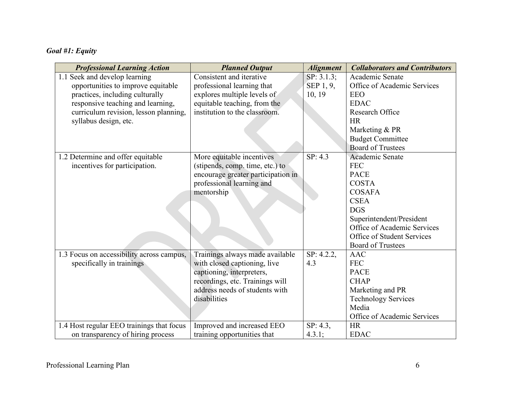# *Goal #1: Equity*

| <b>Professional Learning Action</b>       | <b>Planned Output</b>              | <b>Alignment</b> | <b>Collaborators and Contributors</b> |
|-------------------------------------------|------------------------------------|------------------|---------------------------------------|
| 1.1 Seek and develop learning             | Consistent and iterative           | SP: 3.1.3;       | Academic Senate                       |
| opportunities to improve equitable        | professional learning that         | SEP 1, 9,        | Office of Academic Services           |
| practices, including culturally           | explores multiple levels of        | 10, 19           | <b>EEO</b>                            |
| responsive teaching and learning,         | equitable teaching, from the       |                  | <b>EDAC</b>                           |
| curriculum revision, lesson planning,     | institution to the classroom.      |                  | Research Office                       |
| syllabus design, etc.                     |                                    |                  | <b>HR</b>                             |
|                                           |                                    |                  | Marketing & PR                        |
|                                           |                                    |                  | <b>Budget Committee</b>               |
|                                           |                                    |                  | <b>Board of Trustees</b>              |
| 1.2 Determine and offer equitable         | More equitable incentives          | SP: 4.3          | Academic Senate                       |
| incentives for participation.             | (stipends, comp. time, etc.) to    |                  | <b>FEC</b>                            |
|                                           | encourage greater participation in |                  | <b>PACE</b>                           |
|                                           | professional learning and          |                  | <b>COSTA</b>                          |
|                                           | mentorship                         |                  | <b>COSAFA</b>                         |
|                                           |                                    |                  | <b>CSEA</b>                           |
|                                           |                                    |                  | <b>DGS</b>                            |
|                                           |                                    |                  | Superintendent/President              |
|                                           |                                    |                  | Office of Academic Services           |
|                                           |                                    |                  | Office of Student Services            |
|                                           |                                    |                  | <b>Board of Trustees</b>              |
| 1.3 Focus on accessibility across campus, | Trainings always made available    | SP: 4.2.2,       | <b>AAC</b>                            |
| specifically in trainings                 | with closed captioning, live       | 4.3              | <b>FEC</b>                            |
|                                           | captioning, interpreters,          |                  | <b>PACE</b>                           |
|                                           | recordings, etc. Trainings will    |                  | <b>CHAP</b>                           |
|                                           | address needs of students with     |                  | Marketing and PR                      |
|                                           | disabilities                       |                  | <b>Technology Services</b>            |
|                                           |                                    |                  | Media                                 |
|                                           |                                    |                  | Office of Academic Services           |
| 1.4 Host regular EEO trainings that focus | Improved and increased EEO         | SP: 4.3,         | <b>HR</b>                             |
| on transparency of hiring process         | training opportunities that        | 4.3.1;           | <b>EDAC</b>                           |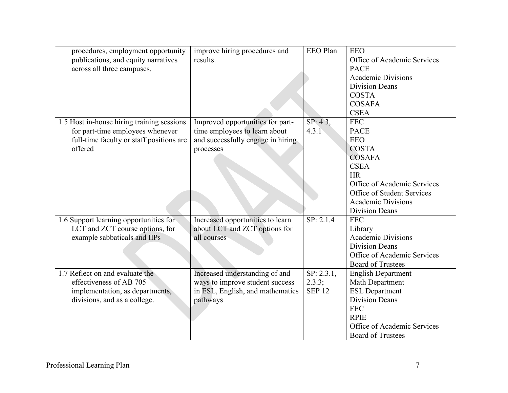| procedures, employment opportunity         | improve hiring procedures and     | EEO Plan      | <b>EEO</b>                  |
|--------------------------------------------|-----------------------------------|---------------|-----------------------------|
| publications, and equity narratives        | results.                          |               | Office of Academic Services |
| across all three campuses.                 |                                   |               | <b>PACE</b>                 |
|                                            |                                   |               | <b>Academic Divisions</b>   |
|                                            |                                   |               | <b>Division Deans</b>       |
|                                            |                                   |               | <b>COSTA</b>                |
|                                            |                                   |               | <b>COSAFA</b>               |
|                                            |                                   |               | <b>CSEA</b>                 |
| 1.5 Host in-house hiring training sessions | Improved opportunities for part-  | SP: 4.3,      | <b>FEC</b>                  |
| for part-time employees whenever           | time employees to learn about     | 4.3.1         | <b>PACE</b>                 |
| full-time faculty or staff positions are   | and successfully engage in hiring |               | <b>EEO</b>                  |
| offered                                    | processes                         |               | <b>COSTA</b>                |
|                                            |                                   |               | <b>COSAFA</b>               |
|                                            |                                   |               | <b>CSEA</b>                 |
|                                            |                                   |               | <b>HR</b>                   |
|                                            |                                   |               | Office of Academic Services |
|                                            |                                   |               | Office of Student Services  |
|                                            |                                   |               | <b>Academic Divisions</b>   |
|                                            |                                   |               | <b>Division Deans</b>       |
| 1.6 Support learning opportunities for     | Increased opportunities to learn  | SP: 2.1.4     | <b>FEC</b>                  |
| LCT and ZCT course options, for            | about LCT and ZCT options for     |               | Library                     |
| example sabbaticals and IIPs               | all courses                       |               | <b>Academic Divisions</b>   |
|                                            |                                   |               | <b>Division Deans</b>       |
|                                            |                                   |               | Office of Academic Services |
|                                            |                                   |               | <b>Board of Trustees</b>    |
| 1.7 Reflect on and evaluate the            | Increased understanding of and    | SP: 2.3.1,    | <b>English Department</b>   |
| effectiveness of AB 705                    | ways to improve student success   | 2.3.3;        | Math Department             |
| implementation, as departments,            | in ESL, English, and mathematics  | <b>SEP 12</b> | <b>ESL Department</b>       |
| divisions, and as a college.               | pathways                          |               | <b>Division Deans</b>       |
|                                            |                                   |               | <b>FEC</b>                  |
|                                            |                                   |               | <b>RPIE</b>                 |
|                                            |                                   |               | Office of Academic Services |
|                                            |                                   |               | <b>Board of Trustees</b>    |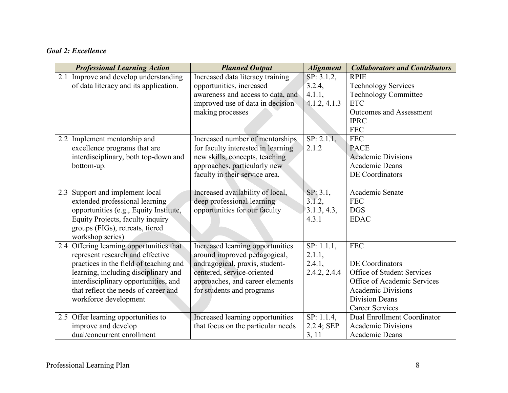## *Goal 2: Excellence*

| <b>Professional Learning Action</b>      | <b>Planned Output</b>              | <b>Alignment</b> | <b>Collaborators and Contributors</b> |
|------------------------------------------|------------------------------------|------------------|---------------------------------------|
| 2.1 Improve and develop understanding    | Increased data literacy training   | SP: 3.1.2,       | <b>RPIE</b>                           |
| of data literacy and its application.    | opportunities, increased           | 3.2.4,           | <b>Technology Services</b>            |
|                                          | awareness and access to data, and  | 4.1.1,           | <b>Technology Committee</b>           |
|                                          | improved use of data in decision-  | 4.1.2, 4.1.3     | <b>ETC</b>                            |
|                                          | making processes                   |                  | <b>Outcomes and Assessment</b>        |
|                                          |                                    |                  | <b>IPRC</b>                           |
|                                          |                                    |                  | <b>FEC</b>                            |
| 2.2 Implement mentorship and             | Increased number of mentorships    | SP: 2.1.1,       | <b>FEC</b>                            |
| excellence programs that are             | for faculty interested in learning | 2.1.2            | <b>PACE</b>                           |
| interdisciplinary, both top-down and     | new skills, concepts, teaching     |                  | <b>Academic Divisions</b>             |
| bottom-up.                               | approaches, particularly new       |                  | <b>Academic Deans</b>                 |
|                                          | faculty in their service area.     |                  | DE Coordinators                       |
|                                          |                                    |                  |                                       |
| 2.3 Support and implement local          | Increased availability of local,   | SP: 3.1,         | Academic Senate                       |
| extended professional learning           | deep professional learning         | 3.1.2,           | <b>FEC</b>                            |
| opportunities (e.g., Equity Institute,   | opportunities for our faculty      | 3.1.3, 4.3,      | <b>DGS</b>                            |
| Equity Projects, faculty inquiry         |                                    | 4.3.1            | <b>EDAC</b>                           |
| groups (FIGs), retreats, tiered          |                                    |                  |                                       |
| workshop series)                         |                                    |                  |                                       |
| 2.4 Offering learning opportunities that | Increased learning opportunities   | SP: 1.1.1,       | <b>FEC</b>                            |
| represent research and effective         | around improved pedagogical,       | 2.1.1,           |                                       |
| practices in the field of teaching and   | andragogical, praxis, student-     | 2.4.1,           | DE Coordinators                       |
| learning, including disciplinary and     | centered, service-oriented         | 2.4.2, 2.4.4     | Office of Student Services            |
| interdisciplinary opportunities, and     | approaches, and career elements    |                  | Office of Academic Services           |
| that reflect the needs of career and     | for students and programs          |                  | <b>Academic Divisions</b>             |
| workforce development                    |                                    |                  | <b>Division Deans</b>                 |
|                                          |                                    |                  | <b>Career Services</b>                |
| 2.5 Offer learning opportunities to      | Increased learning opportunities   | SP: 1.1.4,       | <b>Dual Enrollment Coordinator</b>    |
| improve and develop                      | that focus on the particular needs | 2.2.4; SEP       | <b>Academic Divisions</b>             |
| dual/concurrent enrollment               |                                    | 3, 11            | Academic Deans                        |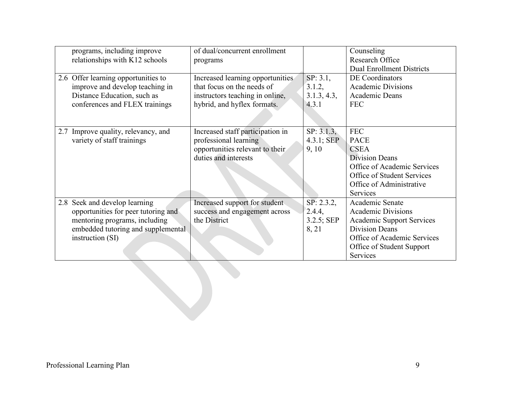| programs, including improve<br>relationships with K12 schools                                                                                                   | of dual/concurrent enrollment<br>programs                                                                                        |                                             | Counseling<br>Research Office<br><b>Dual Enrollment Districts</b>                                                                                                                 |  |
|-----------------------------------------------------------------------------------------------------------------------------------------------------------------|----------------------------------------------------------------------------------------------------------------------------------|---------------------------------------------|-----------------------------------------------------------------------------------------------------------------------------------------------------------------------------------|--|
| 2.6 Offer learning opportunities to<br>improve and develop teaching in<br>Distance Education, such as<br>conferences and FLEX trainings                         | Increased learning opportunities<br>that focus on the needs of<br>instructors teaching in online,<br>hybrid, and hyflex formats. | SP: 3.1,<br>3.1.2,<br>3.1.3, 4.3,<br>4.3.1  | DE Coordinators<br><b>Academic Divisions</b><br>Academic Deans<br><b>FEC</b>                                                                                                      |  |
| 2.7 Improve quality, relevancy, and<br>variety of staff trainings                                                                                               | Increased staff participation in<br>professional learning<br>opportunities relevant to their<br>duties and interests             | SP: 3.1.3,<br>$4.3.1;$ SEP<br>9,10          | <b>FEC</b><br><b>PACE</b><br><b>CSEA</b><br><b>Division Deans</b><br>Office of Academic Services<br>Office of Student Services<br>Office of Administrative<br>Services            |  |
| 2.8 Seek and develop learning<br>opportunities for peer tutoring and<br>mentoring programs, including<br>embedded tutoring and supplemental<br>instruction (SI) | Increased support for student<br>success and engagement across<br>the District                                                   | SP: 2.3.2,<br>2.4.4,<br>3.2.5; SEP<br>8, 21 | Academic Senate<br><b>Academic Divisions</b><br><b>Academic Support Services</b><br><b>Division Deans</b><br>Office of Academic Services<br>Office of Student Support<br>Services |  |
|                                                                                                                                                                 |                                                                                                                                  |                                             |                                                                                                                                                                                   |  |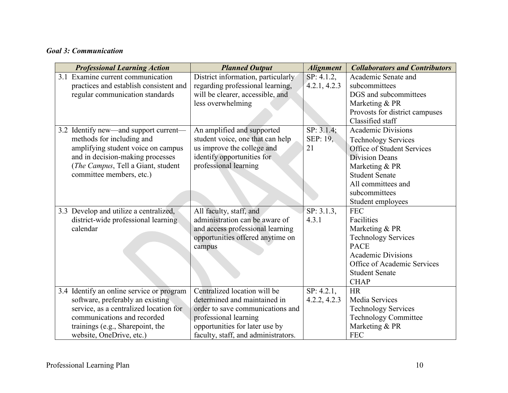## *Goal 3: Communication*

| <b>Professional Learning Action</b>       | <b>Planned Output</b>               | <b>Alignment</b>         | <b>Collaborators and Contributors</b> |
|-------------------------------------------|-------------------------------------|--------------------------|---------------------------------------|
| 3.1 Examine current communication         | District information, particularly  | SP: 4.1.2,               | Academic Senate and                   |
| practices and establish consistent and    | regarding professional learning,    | 4.2.1, 4.2.3             | subcommittees                         |
| regular communication standards           | will be clearer, accessible, and    |                          | DGS and subcommittees                 |
|                                           | less overwhelming                   |                          | Marketing & PR                        |
|                                           |                                     |                          | Provosts for district campuses        |
|                                           |                                     |                          | Classified staff                      |
| 3.2 Identify new—and support current—     | An amplified and supported          | $\overline{SP}$ : 3.1.4; | <b>Academic Divisions</b>             |
| methods for including and                 | student voice, one that can help    | SEP: 19,                 | <b>Technology Services</b>            |
| amplifying student voice on campus        | us improve the college and          | 21                       | Office of Student Services            |
| and in decision-making processes          | identify opportunities for          |                          | <b>Division Deans</b>                 |
| (The Campus, Tell a Giant, student        | professional learning               |                          | Marketing & PR                        |
| committee members, etc.)                  |                                     |                          | <b>Student Senate</b>                 |
|                                           |                                     |                          | All committees and                    |
|                                           |                                     |                          | subcommittees                         |
|                                           |                                     |                          | Student employees                     |
| 3.3 Develop and utilize a centralized,    | All faculty, staff, and             | SP: 3.1.3,               | <b>FEC</b>                            |
| district-wide professional learning       | administration can be aware of      | 4.3.1                    | Facilities                            |
| calendar                                  | and access professional learning    |                          | Marketing & PR                        |
|                                           | opportunities offered anytime on    |                          | <b>Technology Services</b>            |
|                                           | campus                              |                          | <b>PACE</b>                           |
|                                           |                                     |                          | <b>Academic Divisions</b>             |
|                                           |                                     |                          | Office of Academic Services           |
|                                           |                                     |                          | <b>Student Senate</b>                 |
|                                           |                                     |                          | <b>CHAP</b>                           |
| 3.4 Identify an online service or program | Centralized location will be        | SP: 4.2.1,               | <b>HR</b>                             |
| software, preferably an existing          | determined and maintained in        | 4.2.2, 4.2.3             | Media Services                        |
| service, as a centralized location for    | order to save communications and    |                          | <b>Technology Services</b>            |
| communications and recorded               | professional learning               |                          | <b>Technology Committee</b>           |
| trainings (e.g., Sharepoint, the          | opportunities for later use by      |                          | Marketing & PR                        |
| website, OneDrive, etc.)                  | faculty, staff, and administrators. |                          | <b>FEC</b>                            |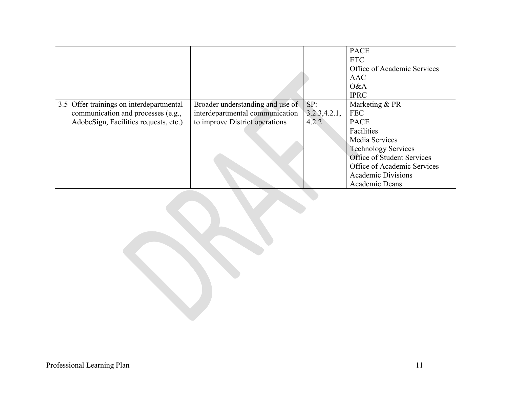|                                          |                                  |               | <b>PACE</b><br><b>ETC</b><br>Office of Academic Services<br><b>AAC</b> |
|------------------------------------------|----------------------------------|---------------|------------------------------------------------------------------------|
|                                          |                                  |               | O&A<br><b>IPRC</b>                                                     |
| 3.5 Offer trainings on interdepartmental | Broader understanding and use of | SP:           | Marketing & PR                                                         |
| communication and processes (e.g.,       | interdepartmental communication  | 3.2.3, 4.2.1, | <b>FEC</b>                                                             |
| AdobeSign, Facilities requests, etc.)    | to improve District operations   | 4.2.2         | <b>PACE</b>                                                            |
|                                          |                                  |               | Facilities                                                             |
|                                          |                                  |               | Media Services                                                         |
|                                          |                                  |               | <b>Technology Services</b>                                             |
|                                          |                                  |               | Office of Student Services                                             |
|                                          |                                  |               | Office of Academic Services                                            |
|                                          |                                  |               | <b>Academic Divisions</b>                                              |
|                                          |                                  |               | Academic Deans                                                         |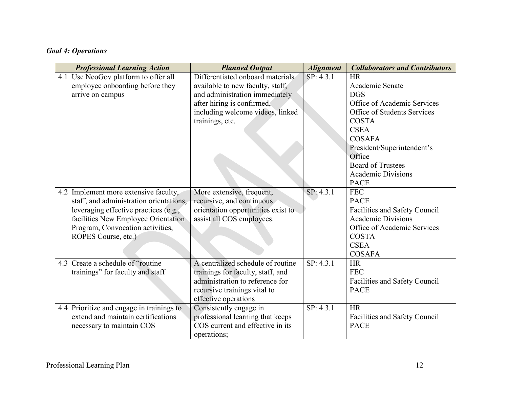# *Goal 4: Operations*

| <b>Professional Learning Action</b>       | <b>Planned Output</b>              | <b>Alignment</b> | <b>Collaborators and Contributors</b> |
|-------------------------------------------|------------------------------------|------------------|---------------------------------------|
| 4.1 Use NeoGov platform to offer all      | Differentiated onboard materials   | SP: 4.3.1        | <b>HR</b>                             |
| employee onboarding before they           | available to new faculty, staff,   |                  | Academic Senate                       |
| arrive on campus                          | and administration immediately     |                  | <b>DGS</b>                            |
|                                           | after hiring is confirmed,         |                  | Office of Academic Services           |
|                                           | including welcome videos, linked   |                  | Office of Students Services           |
|                                           | trainings, etc.                    |                  | <b>COSTA</b>                          |
|                                           |                                    |                  | <b>CSEA</b>                           |
|                                           |                                    |                  | <b>COSAFA</b>                         |
|                                           |                                    |                  | President/Superintendent's            |
|                                           |                                    |                  | Office                                |
|                                           |                                    |                  | <b>Board of Trustees</b>              |
|                                           |                                    |                  | <b>Academic Divisions</b>             |
|                                           |                                    |                  | <b>PACE</b>                           |
| 4.2 Implement more extensive faculty,     | More extensive, frequent,          | SP: 4.3.1        | <b>FEC</b>                            |
| staff, and administration orientations,   | recursive, and continuous          |                  | <b>PACE</b>                           |
| leveraging effective practices (e.g.,     | orientation opportunities exist to |                  | Facilities and Safety Council         |
| facilities New Employee Orientation       | assist all COS employees.          |                  | <b>Academic Divisions</b>             |
| Program, Convocation activities,          |                                    |                  | Office of Academic Services           |
| ROPES Course, etc.)                       |                                    |                  | <b>COSTA</b>                          |
|                                           |                                    |                  | <b>CSEA</b>                           |
|                                           |                                    |                  | <b>COSAFA</b>                         |
| 4.3 Create a schedule of "routine"        | A centralized schedule of routine  | SP: 4.3.1        | <b>HR</b>                             |
| trainings" for faculty and staff          | trainings for faculty, staff, and  |                  | <b>FEC</b>                            |
|                                           | administration to reference for    |                  | Facilities and Safety Council         |
|                                           | recursive trainings vital to       |                  | <b>PACE</b>                           |
|                                           | effective operations               |                  |                                       |
| 4.4 Prioritize and engage in trainings to | Consistently engage in             | SP: 4.3.1        | <b>HR</b>                             |
| extend and maintain certifications        | professional learning that keeps   |                  | Facilities and Safety Council         |
| necessary to maintain COS                 | COS current and effective in its   |                  | <b>PACE</b>                           |
|                                           | operations;                        |                  |                                       |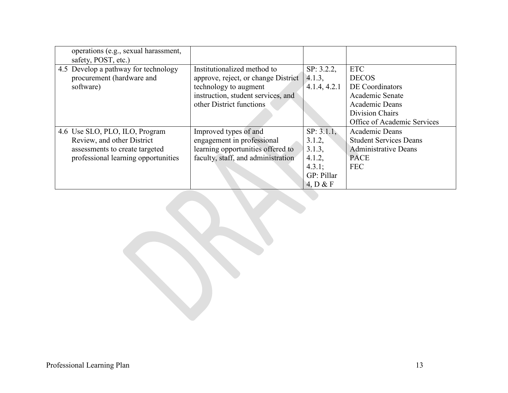| operations (e.g., sexual harassment,<br>safety, POST, etc.) |                                     |              |                               |
|-------------------------------------------------------------|-------------------------------------|--------------|-------------------------------|
| 4.5 Develop a pathway for technology                        | Institutionalized method to         |              | <b>ETC</b>                    |
|                                                             |                                     | SP: 3.2.2,   |                               |
| procurement (hardware and                                   | approve, reject, or change District | 4.1.3,       | <b>DECOS</b>                  |
| software)                                                   | technology to augment               | 4.1.4, 4.2.1 | DE Coordinators               |
|                                                             | instruction, student services, and  |              | Academic Senate               |
|                                                             | other District functions            |              | Academic Deans                |
|                                                             |                                     |              | Division Chairs               |
|                                                             |                                     |              | Office of Academic Services   |
| 4.6 Use SLO, PLO, ILO, Program                              | Improved types of and               | SP: 3.1.1,   | Academic Deans                |
| Review, and other District                                  | engagement in professional          | 3.1.2,       | <b>Student Services Deans</b> |
| assessments to create targeted                              | learning opportunities offered to   | 3.1.3,       | <b>Administrative Deans</b>   |
| professional learning opportunities                         | faculty, staff, and administration  | 4.1.2,       | <b>PACE</b>                   |
|                                                             |                                     | 4.3.1;       | <b>FEC</b>                    |
|                                                             |                                     | GP: Pillar   |                               |
|                                                             |                                     | 4. D & F     |                               |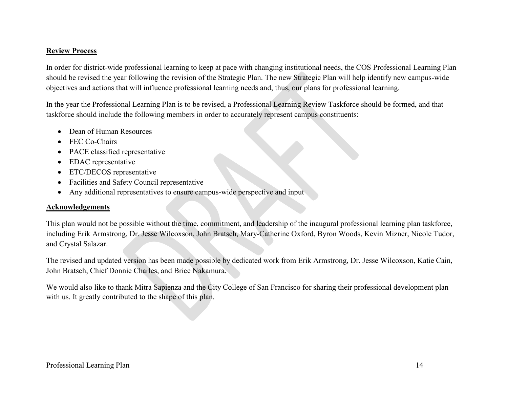### **Review Process**

In order for district-wide professional learning to keep at pace with changing institutional needs, the COS Professional Learning Plan should be revised the year following the revision of the Strategic Plan. The new Strategic Plan will help identify new campus-wide objectives and actions that will influence professional learning needs and, thus, our plans for professional learning.

In the year the Professional Learning Plan is to be revised, a Professional Learning Review Taskforce should be formed, and that taskforce should include the following members in order to accurately represent campus constituents:

- Dean of Human Resources
- FEC Co-Chairs
- PACE classified representative
- EDAC representative
- ETC/DECOS representative
- Facilities and Safety Council representative
- Any additional representatives to ensure campus-wide perspective and input

#### **Acknowledgements**

This plan would not be possible without the time, commitment, and leadership of the inaugural professional learning plan taskforce, including Erik Armstrong, Dr. Jesse Wilcoxson, John Bratsch, Mary-Catherine Oxford, Byron Woods, Kevin Mizner, Nicole Tudor, and Crystal Salazar.

The revised and updated version has been made possible by dedicated work from Erik Armstrong, Dr. Jesse Wilcoxson, Katie Cain, John Bratsch, Chief Donnie Charles, and Brice Nakamura.

We would also like to thank Mitra Sapienza and the City College of San Francisco for sharing their professional development plan with us. It greatly contributed to the shape of this plan.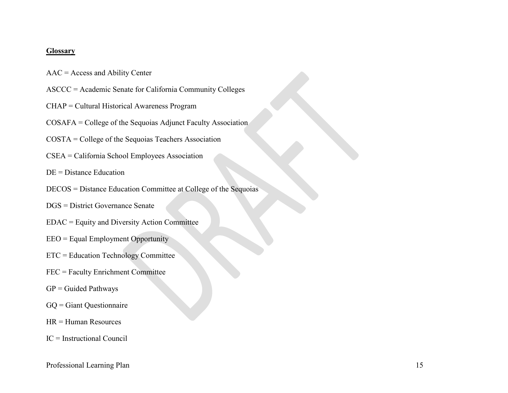#### **Glossary**

- AAC = Access and Ability Center
- ASCCC = Academic Senate for California Community Colleges
- CHAP = Cultural Historical Awareness Program
- COSAFA = College of the Sequoias Adjunct Faculty Association
- COSTA = College of the Sequoias Teachers Association
- CSEA = California School Employees Association
- DE = Distance Education
- DECOS = Distance Education Committee at College of the Sequoias
- DGS = District Governance Senate
- EDAC = Equity and Diversity Action Committee
- EEO = Equal Employment Opportunity
- ETC = Education Technology Committee
- FEC = Faculty Enrichment Committee
- $GP =$  Guided Pathways
- GQ = Giant Questionnaire
- HR = Human Resources
- IC = Instructional Council